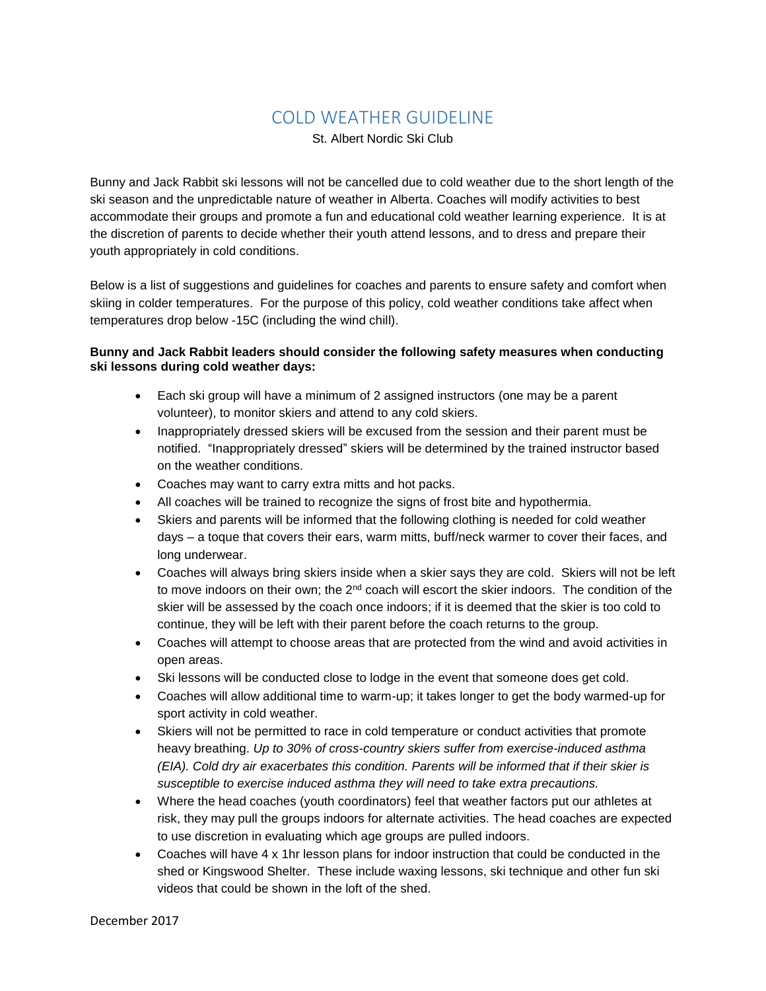## COLD WEATHER GUIDELINE

St. Albert Nordic Ski Club

Bunny and Jack Rabbit ski lessons will not be cancelled due to cold weather due to the short length of the ski season and the unpredictable nature of weather in Alberta. Coaches will modify activities to best accommodate their groups and promote a fun and educational cold weather learning experience. It is at the discretion of parents to decide whether their youth attend lessons, and to dress and prepare their youth appropriately in cold conditions.

Below is a list of suggestions and guidelines for coaches and parents to ensure safety and comfort when skiing in colder temperatures. For the purpose of this policy, cold weather conditions take affect when temperatures drop below -15C (including the wind chill).

## **Bunny and Jack Rabbit leaders should consider the following safety measures when conducting ski lessons during cold weather days:**

- Each ski group will have a minimum of 2 assigned instructors (one may be a parent volunteer), to monitor skiers and attend to any cold skiers.
- Inappropriately dressed skiers will be excused from the session and their parent must be notified. "Inappropriately dressed" skiers will be determined by the trained instructor based on the weather conditions.
- Coaches may want to carry extra mitts and hot packs.
- All coaches will be trained to recognize the signs of frost bite and hypothermia.
- Skiers and parents will be informed that the following clothing is needed for cold weather days – a toque that covers their ears, warm mitts, buff/neck warmer to cover their faces, and long underwear.
- Coaches will always bring skiers inside when a skier says they are cold. Skiers will not be left to move indoors on their own; the 2<sup>nd</sup> coach will escort the skier indoors. The condition of the skier will be assessed by the coach once indoors; if it is deemed that the skier is too cold to continue, they will be left with their parent before the coach returns to the group.
- Coaches will attempt to choose areas that are protected from the wind and avoid activities in open areas.
- Ski lessons will be conducted close to lodge in the event that someone does get cold.
- Coaches will allow additional time to warm-up; it takes longer to get the body warmed-up for sport activity in cold weather.
- Skiers will not be permitted to race in cold temperature or conduct activities that promote heavy breathing. *Up to 30% of cross-country skiers suffer from exercise-induced asthma (EIA). Cold dry air exacerbates this condition. Parents will be informed that if their skier is susceptible to exercise induced asthma they will need to take extra precautions.*
- Where the head coaches (youth coordinators) feel that weather factors put our athletes at risk, they may pull the groups indoors for alternate activities. The head coaches are expected to use discretion in evaluating which age groups are pulled indoors.
- Coaches will have 4 x 1hr lesson plans for indoor instruction that could be conducted in the shed or Kingswood Shelter. These include waxing lessons, ski technique and other fun ski videos that could be shown in the loft of the shed.